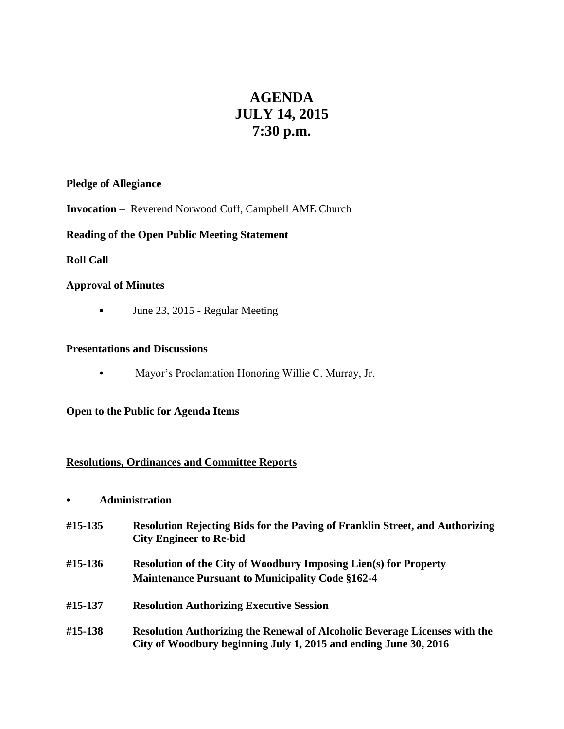# **AGENDA JULY 14, 2015 7:30 p.m.**

# **Pledge of Allegiance**

**Invocation** – Reverend Norwood Cuff, Campbell AME Church

# **Reading of the Open Public Meeting Statement**

# **Roll Call**

# **Approval of Minutes**

**•** June 23, 2015 - Regular Meeting

#### **Presentations and Discussions**

• Mayor's Proclamation Honoring Willie C. Murray, Jr.

#### **Open to the Public for Agenda Items**

# **Resolutions, Ordinances and Committee Reports**

- **• Administration**
- **#15-135 Resolution Rejecting Bids for the Paving of Franklin Street, and Authorizing City Engineer to Re-bid**
- **#15-136 Resolution of the City of Woodbury Imposing Lien(s) for Property Maintenance Pursuant to Municipality Code §162-4**
- **#15-137 Resolution Authorizing Executive Session**
- **#15-138 Resolution Authorizing the Renewal of Alcoholic Beverage Licenses with the City of Woodbury beginning July 1, 2015 and ending June 30, 2016**